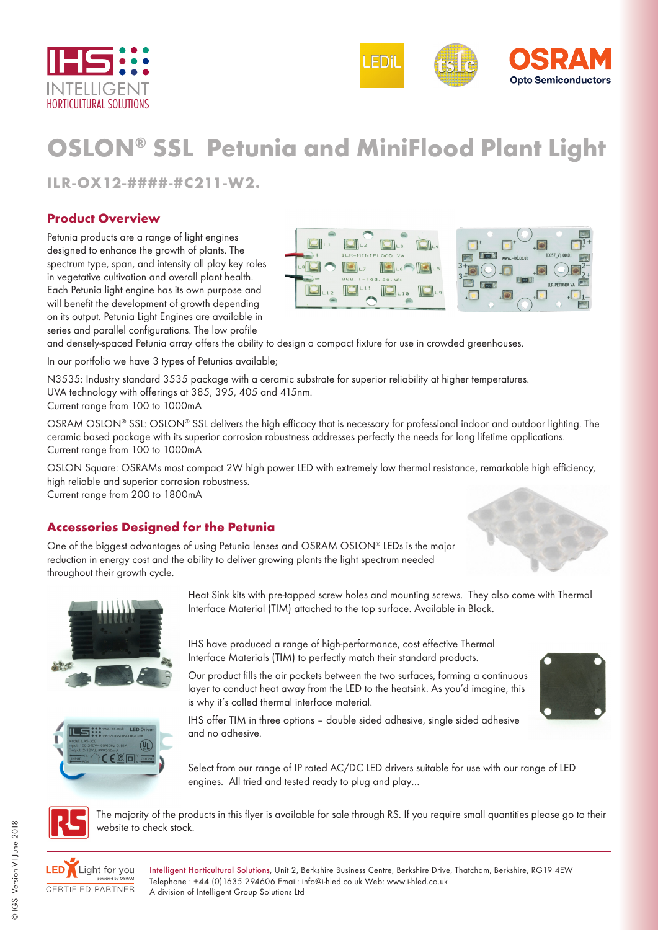



# **OSLON® SSL Petunia and MiniFlood Plant Light**

**ILR-OX12-####-#C211-W2.**

#### **Product Overview**

Petunia products are a range of light engines designed to enhance the growth of plants. The spectrum type, span, and intensity all play key roles in vegetative cultivation and overall plant health. Each Petunia light engine has its own purpose and will benefit the development of growth depending on its output. Petunia Light Engines are available in series and parallel configurations. The low profile





and densely-spaced Petunia array offers the ability to design a compact fixture for use in crowded greenhouses.

In our portfolio we have 3 types of Petunias available;

N3535: Industry standard 3535 package with a ceramic substrate for superior reliability at higher temperatures. UVA technology with offerings at 385, 395, 405 and 415nm.

Current range from 100 to 1000mA

OSRAM OSLON® SSL: OSLON® SSL delivers the high efficacy that is necessary for professional indoor and outdoor lighting. The ceramic based package with its superior corrosion robustness addresses perfectly the needs for long lifetime applications. Current range from 100 to 1000mA

OSLON Square: OSRAMs most compact 2W high power LED with extremely low thermal resistance, remarkable high efficiency, high reliable and superior corrosion robustness.

Current range from 200 to 1800mA

#### **Accessories Designed for the Petunia**

One of the biggest advantages of using Petunia lenses and OSRAM OSLON® LEDs is the major reduction in energy cost and the ability to deliver growing plants the light spectrum needed throughout their growth cycle.



 $\sqrt{u}$ 

図図

Heat Sink kits with pre-tapped screw holes and mounting screws. They also come with Thermal Interface Material (TIM) attached to the top surface. Available in Black.

IHS have produced a range of high-performance, cost effective Thermal Interface Materials (TIM) to perfectly match their standard products.

Our product fills the air pockets between the two surfaces, forming a continuous layer to conduct heat away from the LED to the heatsink. As you'd imagine, this is why it's called thermal interface material.



IHS offer TIM in three options – double sided adhesive, single sided adhesive and no adhesive.

Select from our range of IP rated AC/DC LED drivers suitable for use with our range of LED engines. All tried and tested ready to plug and play…



The majority of the products in this flyer is available for sale through RS. If you require small quantities please go to their website to check stock.



Intelligent Horticultural Solutions, Unit 2, Berkshire Business Centre, Berkshire Drive, Thatcham, Berkshire, RG19 4EW Telephone : +44 (0)1635 294606 Email: info@i-hled.co.uk Web: www.i-hled.co.uk A division of Intelligent Group Solutions Ltd